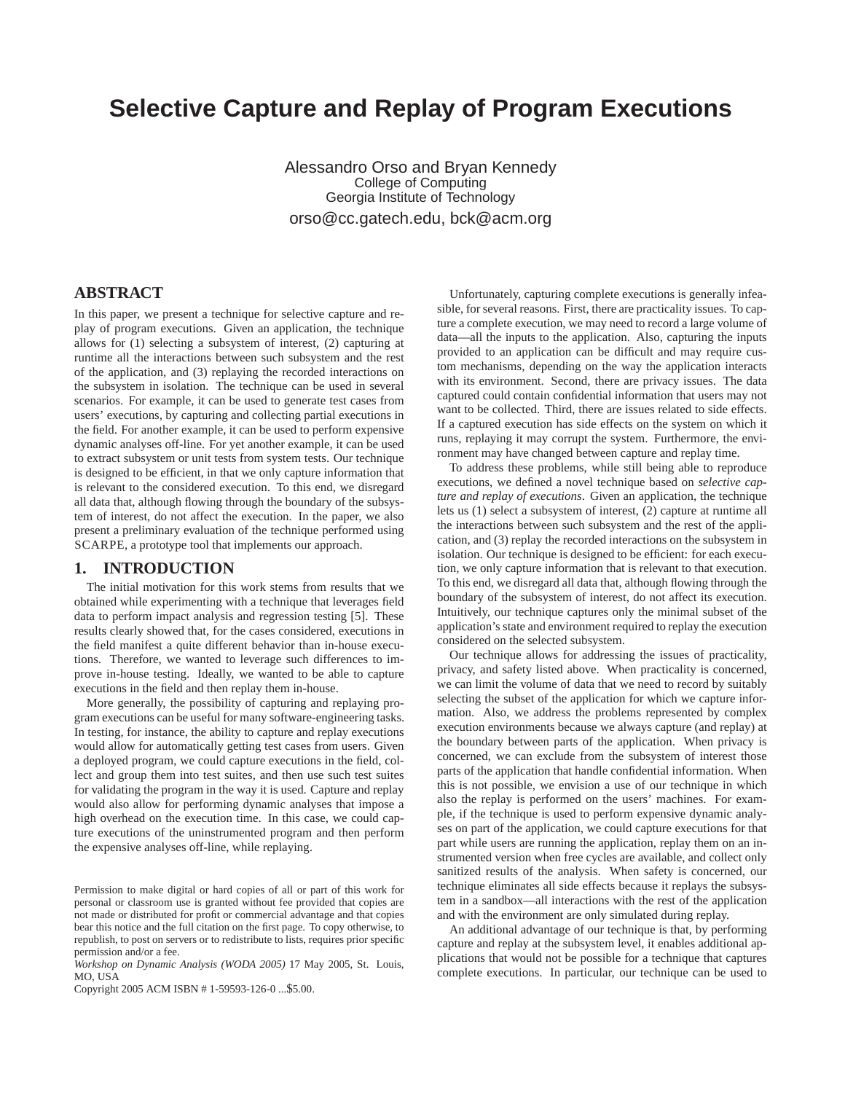# **Selective Capture and Replay of Program Executions**

Alessandro Orso and Bryan Kennedy College of Computing Georgia Institute of Technology orso@cc.gatech.edu, bck@acm.org

# **ABSTRACT**

In this paper, we present a technique for selective capture and replay of program executions. Given an application, the technique allows for (1) selecting a subsystem of interest, (2) capturing at runtime all the interactions between such subsystem and the rest of the application, and (3) replaying the recorded interactions on the subsystem in isolation. The technique can be used in several scenarios. For example, it can be used to generate test cases from users' executions, by capturing and collecting partial executions in the field. For another example, it can be used to perform expensive dynamic analyses off-line. For yet another example, it can be used to extract subsystem or unit tests from system tests. Our technique is designed to be efficient, in that we only capture information that is relevant to the considered execution. To this end, we disregard all data that, although flowing through the boundary of the subsystem of interest, do not affect the execution. In the paper, we also present a preliminary evaluation of the technique performed using SCARPE, a prototype tool that implements our approach.

# **1. INTRODUCTION**

The initial motivation for this work stems from results that we obtained while experimenting with a technique that leverages field data to perform impact analysis and regression testing [5]. These results clearly showed that, for the cases considered, executions in the field manifest a quite different behavior than in-house executions. Therefore, we wanted to leverage such differences to improve in-house testing. Ideally, we wanted to be able to capture executions in the field and then replay them in-house.

More generally, the possibility of capturing and replaying program executions can be useful for many software-engineering tasks. In testing, for instance, the ability to capture and replay executions would allow for automatically getting test cases from users. Given a deployed program, we could capture executions in the field, collect and group them into test suites, and then use such test suites for validating the program in the way it is used. Capture and replay would also allow for performing dynamic analyses that impose a high overhead on the execution time. In this case, we could capture executions of the uninstrumented program and then perform the expensive analyses off-line, while replaying.

*Workshop on Dynamic Analysis (WODA 2005)* 17 May 2005, St. Louis, MO<sub>USA</sub>

Copyright 2005 ACM ISBN # 1-59593-126-0 ...\$5.00.

Unfortunately, capturing complete executions is generally infeasible, for several reasons. First, there are practicality issues. To capture a complete execution, we may need to record a large volume of data—all the inputs to the application. Also, capturing the inputs provided to an application can be difficult and may require custom mechanisms, depending on the way the application interacts with its environment. Second, there are privacy issues. The data captured could contain confidential information that users may not want to be collected. Third, there are issues related to side effects. If a captured execution has side effects on the system on which it runs, replaying it may corrupt the system. Furthermore, the environment may have changed between capture and replay time.

To address these problems, while still being able to reproduce executions, we defined a novel technique based on *selective capture and replay of executions*. Given an application, the technique lets us (1) select a subsystem of interest, (2) capture at runtime all the interactions between such subsystem and the rest of the application, and (3) replay the recorded interactions on the subsystem in isolation. Our technique is designed to be efficient: for each execution, we only capture information that is relevant to that execution. To this end, we disregard all data that, although flowing through the boundary of the subsystem of interest, do not affect its execution. Intuitively, our technique captures only the minimal subset of the application's state and environment required to replay the execution considered on the selected subsystem.

Our technique allows for addressing the issues of practicality, privacy, and safety listed above. When practicality is concerned, we can limit the volume of data that we need to record by suitably selecting the subset of the application for which we capture information. Also, we address the problems represented by complex execution environments because we always capture (and replay) at the boundary between parts of the application. When privacy is concerned, we can exclude from the subsystem of interest those parts of the application that handle confidential information. When this is not possible, we envision a use of our technique in which also the replay is performed on the users' machines. For example, if the technique is used to perform expensive dynamic analyses on part of the application, we could capture executions for that part while users are running the application, replay them on an instrumented version when free cycles are available, and collect only sanitized results of the analysis. When safety is concerned, our technique eliminates all side effects because it replays the subsystem in a sandbox—all interactions with the rest of the application and with the environment are only simulated during replay.

An additional advantage of our technique is that, by performing capture and replay at the subsystem level, it enables additional applications that would not be possible for a technique that captures complete executions. In particular, our technique can be used to

Permission to make digital or hard copies of all or part of this work for personal or classroom use is granted without fee provided that copies are not made or distributed for profit or commercial advantage and that copies bear this notice and the full citation on the first page. To copy otherwise, to republish, to post on servers or to redistribute to lists, requires prior specific permission and/or a fee.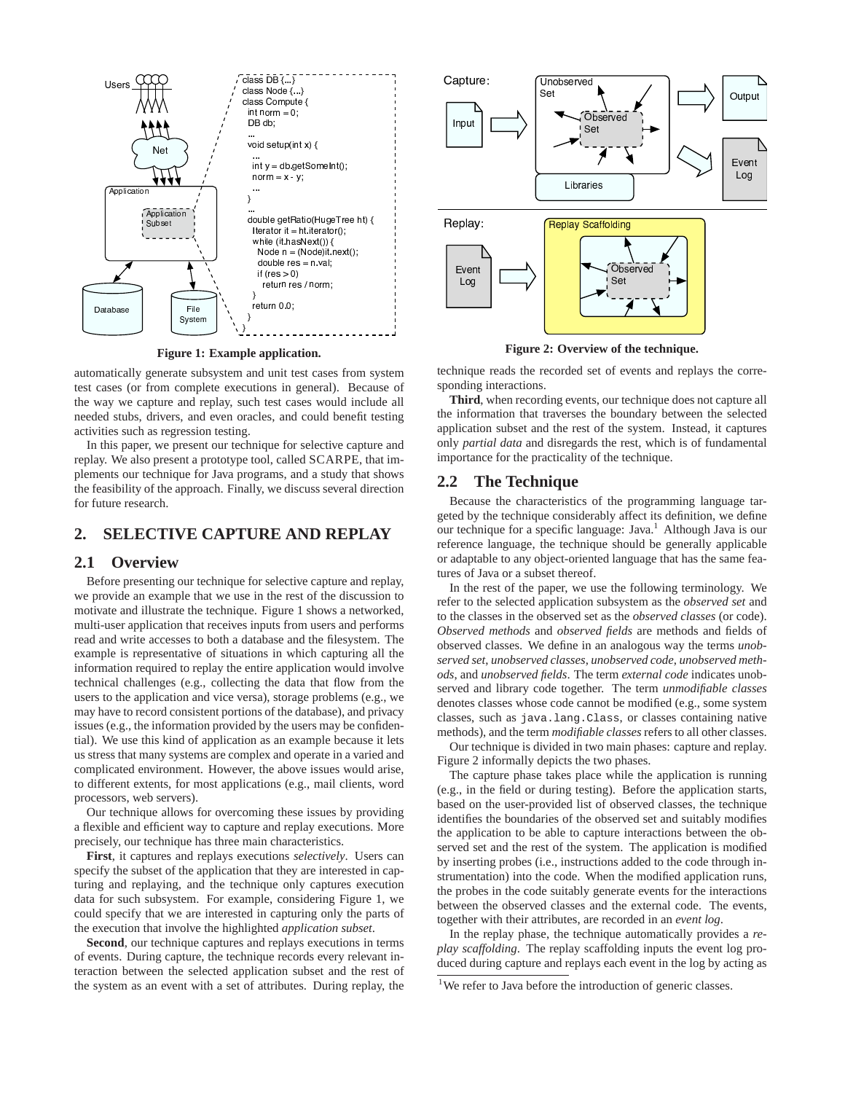

**Figure 1: Example application.**

automatically generate subsystem and unit test cases from system test cases (or from complete executions in general). Because of the way we capture and replay, such test cases would include all needed stubs, drivers, and even oracles, and could benefit testing activities such as regression testing.

In this paper, we present our technique for selective capture and replay. We also present a prototype tool, called SCARPE, that implements our technique for Java programs, and a study that shows the feasibility of the approach. Finally, we discuss several direction for future research.

# **2. SELECTIVE CAPTURE AND REPLAY**

# **2.1 Overview**

Before presenting our technique for selective capture and replay, we provide an example that we use in the rest of the discussion to motivate and illustrate the technique. Figure 1 shows a networked, multi-user application that receives inputs from users and performs read and write accesses to both a database and the filesystem. The example is representative of situations in which capturing all the information required to replay the entire application would involve technical challenges (e.g., collecting the data that flow from the users to the application and vice versa), storage problems (e.g., we may have to record consistent portions of the database), and privacy issues (e.g., the information provided by the users may be confidential). We use this kind of application as an example because it lets us stress that many systems are complex and operate in a varied and complicated environment. However, the above issues would arise, to different extents, for most applications (e.g., mail clients, word processors, web servers).

Our technique allows for overcoming these issues by providing a flexible and efficient way to capture and replay executions. More precisely, our technique has three main characteristics.

**First**, it captures and replays executions *selectively*. Users can specify the subset of the application that they are interested in capturing and replaying, and the technique only captures execution data for such subsystem. For example, considering Figure 1, we could specify that we are interested in capturing only the parts of the execution that involve the highlighted *application subset*.

**Second**, our technique captures and replays executions in terms of events. During capture, the technique records every relevant interaction between the selected application subset and the rest of the system as an event with a set of attributes. During replay, the



**Figure 2: Overview of the technique.**

technique reads the recorded set of events and replays the corresponding interactions.

**Third**, when recording events, our technique does not capture all the information that traverses the boundary between the selected application subset and the rest of the system. Instead, it captures only *partial data* and disregards the rest, which is of fundamental importance for the practicality of the technique.

## **2.2 The Technique**

Because the characteristics of the programming language targeted by the technique considerably affect its definition, we define our technique for a specific language: Java.<sup>1</sup> Although Java is our reference language, the technique should be generally applicable or adaptable to any object-oriented language that has the same features of Java or a subset thereof.

In the rest of the paper, we use the following terminology. We refer to the selected application subsystem as the *observed set* and to the classes in the observed set as the *observed classes* (or code). *Observed methods* and *observed fields* are methods and fields of observed classes. We define in an analogous way the terms *unobserved set*, *unobserved classes*, *unobserved code*, *unobserved methods*, and *unobserved fields*. The term *external code* indicates unobserved and library code together. The term *unmodifiable classes* denotes classes whose code cannot be modified (e.g., some system classes, such as java.lang.Class, or classes containing native methods), and the term *modifiable classes* refers to all other classes.

Our technique is divided in two main phases: capture and replay. Figure 2 informally depicts the two phases.

The capture phase takes place while the application is running (e.g., in the field or during testing). Before the application starts, based on the user-provided list of observed classes, the technique identifies the boundaries of the observed set and suitably modifies the application to be able to capture interactions between the observed set and the rest of the system. The application is modified by inserting probes (i.e., instructions added to the code through instrumentation) into the code. When the modified application runs, the probes in the code suitably generate events for the interactions between the observed classes and the external code. The events, together with their attributes, are recorded in an *event log*.

In the replay phase, the technique automatically provides a *replay scaffolding*. The replay scaffolding inputs the event log produced during capture and replays each event in the log by acting as

<sup>&</sup>lt;sup>1</sup>We refer to Java before the introduction of generic classes.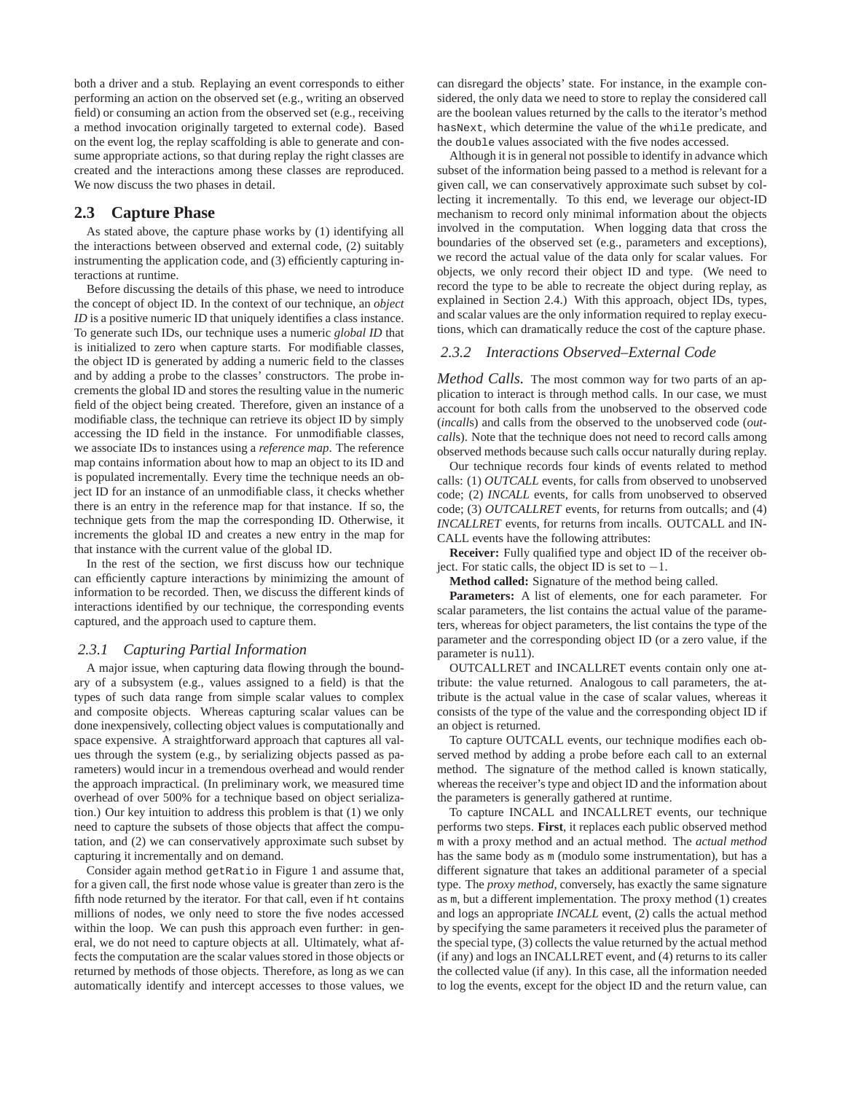both a driver and a stub. Replaying an event corresponds to either performing an action on the observed set (e.g., writing an observed field) or consuming an action from the observed set (e.g., receiving a method invocation originally targeted to external code). Based on the event log, the replay scaffolding is able to generate and consume appropriate actions, so that during replay the right classes are created and the interactions among these classes are reproduced. We now discuss the two phases in detail.

# **2.3 Capture Phase**

As stated above, the capture phase works by (1) identifying all the interactions between observed and external code, (2) suitably instrumenting the application code, and (3) efficiently capturing interactions at runtime.

Before discussing the details of this phase, we need to introduce the concept of object ID. In the context of our technique, an *object ID* is a positive numeric ID that uniquely identifies a class instance. To generate such IDs, our technique uses a numeric *global ID* that is initialized to zero when capture starts. For modifiable classes, the object ID is generated by adding a numeric field to the classes and by adding a probe to the classes' constructors. The probe increments the global ID and stores the resulting value in the numeric field of the object being created. Therefore, given an instance of a modifiable class, the technique can retrieve its object ID by simply accessing the ID field in the instance. For unmodifiable classes, we associate IDs to instances using a *reference map*. The reference map contains information about how to map an object to its ID and is populated incrementally. Every time the technique needs an object ID for an instance of an unmodifiable class, it checks whether there is an entry in the reference map for that instance. If so, the technique gets from the map the corresponding ID. Otherwise, it increments the global ID and creates a new entry in the map for that instance with the current value of the global ID.

In the rest of the section, we first discuss how our technique can efficiently capture interactions by minimizing the amount of information to be recorded. Then, we discuss the different kinds of interactions identified by our technique, the corresponding events captured, and the approach used to capture them.

#### *2.3.1 Capturing Partial Information*

A major issue, when capturing data flowing through the boundary of a subsystem (e.g., values assigned to a field) is that the types of such data range from simple scalar values to complex and composite objects. Whereas capturing scalar values can be done inexpensively, collecting object values is computationally and space expensive. A straightforward approach that captures all values through the system (e.g., by serializing objects passed as parameters) would incur in a tremendous overhead and would render the approach impractical. (In preliminary work, we measured time overhead of over 500% for a technique based on object serialization.) Our key intuition to address this problem is that (1) we only need to capture the subsets of those objects that affect the computation, and (2) we can conservatively approximate such subset by capturing it incrementally and on demand.

Consider again method getRatio in Figure 1 and assume that, for a given call, the first node whose value is greater than zero is the fifth node returned by the iterator. For that call, even if ht contains millions of nodes, we only need to store the five nodes accessed within the loop. We can push this approach even further: in general, we do not need to capture objects at all. Ultimately, what affects the computation are the scalar values stored in those objects or returned by methods of those objects. Therefore, as long as we can automatically identify and intercept accesses to those values, we can disregard the objects' state. For instance, in the example considered, the only data we need to store to replay the considered call are the boolean values returned by the calls to the iterator's method hasNext, which determine the value of the while predicate, and the double values associated with the five nodes accessed.

Although it is in general not possible to identify in advance which subset of the information being passed to a method is relevant for a given call, we can conservatively approximate such subset by collecting it incrementally. To this end, we leverage our object-ID mechanism to record only minimal information about the objects involved in the computation. When logging data that cross the boundaries of the observed set (e.g., parameters and exceptions), we record the actual value of the data only for scalar values. For objects, we only record their object ID and type. (We need to record the type to be able to recreate the object during replay, as explained in Section 2.4.) With this approach, object IDs, types, and scalar values are the only information required to replay executions, which can dramatically reduce the cost of the capture phase.

#### *2.3.2 Interactions Observed–External Code*

*Method Calls.* The most common way for two parts of an application to interact is through method calls. In our case, we must account for both calls from the unobserved to the observed code (*incall*s) and calls from the observed to the unobserved code (*outcall*s). Note that the technique does not need to record calls among observed methods because such calls occur naturally during replay.

Our technique records four kinds of events related to method calls: (1) *OUTCALL* events, for calls from observed to unobserved code; (2) *INCALL* events, for calls from unobserved to observed code; (3) *OUTCALLRET* events, for returns from outcalls; and (4) *INCALLRET* events, for returns from incalls. OUTCALL and IN-CALL events have the following attributes:

**Receiver:** Fully qualified type and object ID of the receiver object. For static calls, the object ID is set to  $-1$ .

**Method called:** Signature of the method being called.

**Parameters:** A list of elements, one for each parameter. For scalar parameters, the list contains the actual value of the parameters, whereas for object parameters, the list contains the type of the parameter and the corresponding object ID (or a zero value, if the parameter is null).

OUTCALLRET and INCALLRET events contain only one attribute: the value returned. Analogous to call parameters, the attribute is the actual value in the case of scalar values, whereas it consists of the type of the value and the corresponding object ID if an object is returned.

To capture OUTCALL events, our technique modifies each observed method by adding a probe before each call to an external method. The signature of the method called is known statically, whereas the receiver's type and object ID and the information about the parameters is generally gathered at runtime.

To capture INCALL and INCALLRET events, our technique performs two steps. **First**, it replaces each public observed method m with a proxy method and an actual method. The *actual method* has the same body as m (modulo some instrumentation), but has a different signature that takes an additional parameter of a special type. The *proxy method*, conversely, has exactly the same signature as m, but a different implementation. The proxy method (1) creates and logs an appropriate *INCALL* event, (2) calls the actual method by specifying the same parameters it received plus the parameter of the special type, (3) collects the value returned by the actual method (if any) and logs an INCALLRET event, and (4) returns to its caller the collected value (if any). In this case, all the information needed to log the events, except for the object ID and the return value, can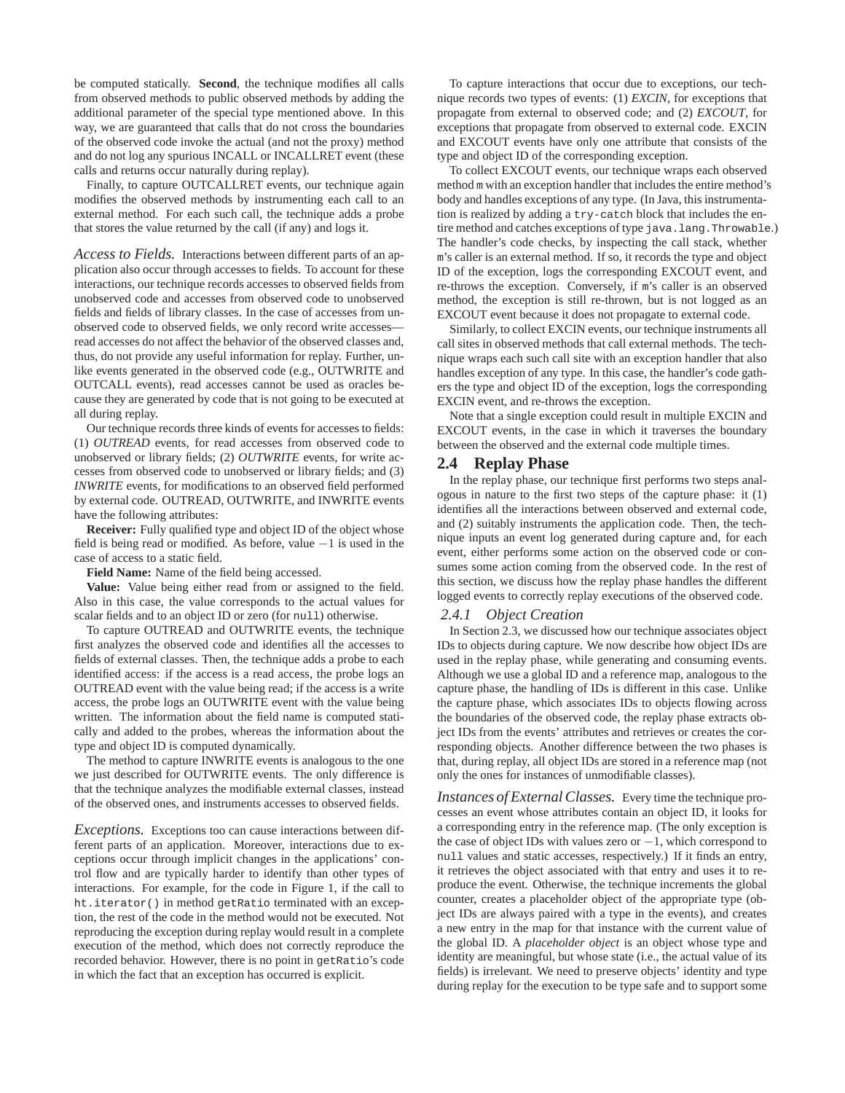be computed statically. **Second**, the technique modifies all calls from observed methods to public observed methods by adding the additional parameter of the special type mentioned above. In this way, we are guaranteed that calls that do not cross the boundaries of the observed code invoke the actual (and not the proxy) method and do not log any spurious INCALL or INCALLRET event (these calls and returns occur naturally during replay).

Finally, to capture OUTCALLRET events, our technique again modifies the observed methods by instrumenting each call to an external method. For each such call, the technique adds a probe that stores the value returned by the call (if any) and logs it.

*Access to Fields.* Interactions between different parts of an application also occur through accesses to fields. To account for these interactions, our technique records accesses to observed fields from unobserved code and accesses from observed code to unobserved fields and fields of library classes. In the case of accesses from unobserved code to observed fields, we only record write accesses read accesses do not affect the behavior of the observed classes and, thus, do not provide any useful information for replay. Further, unlike events generated in the observed code (e.g., OUTWRITE and OUTCALL events), read accesses cannot be used as oracles because they are generated by code that is not going to be executed at all during replay.

Our technique records three kinds of events for accesses to fields: (1) *OUTREAD* events, for read accesses from observed code to unobserved or library fields; (2) *OUTWRITE* events, for write accesses from observed code to unobserved or library fields; and (3) *INWRITE* events, for modifications to an observed field performed by external code. OUTREAD, OUTWRITE, and INWRITE events have the following attributes:

**Receiver:** Fully qualified type and object ID of the object whose field is being read or modified. As before, value  $-1$  is used in the case of access to a static field.

**Field Name:** Name of the field being accessed.

**Value:** Value being either read from or assigned to the field. Also in this case, the value corresponds to the actual values for scalar fields and to an object ID or zero (for null) otherwise.

To capture OUTREAD and OUTWRITE events, the technique first analyzes the observed code and identifies all the accesses to fields of external classes. Then, the technique adds a probe to each identified access: if the access is a read access, the probe logs an OUTREAD event with the value being read; if the access is a write access, the probe logs an OUTWRITE event with the value being written. The information about the field name is computed statically and added to the probes, whereas the information about the type and object ID is computed dynamically.

The method to capture INWRITE events is analogous to the one we just described for OUTWRITE events. The only difference is that the technique analyzes the modifiable external classes, instead of the observed ones, and instruments accesses to observed fields.

*Exceptions.* Exceptions too can cause interactions between different parts of an application. Moreover, interactions due to exceptions occur through implicit changes in the applications' control flow and are typically harder to identify than other types of interactions. For example, for the code in Figure 1, if the call to ht.iterator() in method getRatio terminated with an exception, the rest of the code in the method would not be executed. Not reproducing the exception during replay would result in a complete execution of the method, which does not correctly reproduce the recorded behavior. However, there is no point in getRatio's code in which the fact that an exception has occurred is explicit.

To capture interactions that occur due to exceptions, our technique records two types of events: (1) *EXCIN*, for exceptions that propagate from external to observed code; and (2) *EXCOUT*, for exceptions that propagate from observed to external code. EXCIN and EXCOUT events have only one attribute that consists of the type and object ID of the corresponding exception.

To collect EXCOUT events, our technique wraps each observed method m with an exception handler that includes the entire method's body and handles exceptions of any type. (In Java, this instrumentation is realized by adding a try-catch block that includes the entire method and catches exceptions of type java.lang.Throwable.) The handler's code checks, by inspecting the call stack, whether m's caller is an external method. If so, it records the type and object ID of the exception, logs the corresponding EXCOUT event, and re-throws the exception. Conversely, if m's caller is an observed method, the exception is still re-thrown, but is not logged as an EXCOUT event because it does not propagate to external code.

Similarly, to collect EXCIN events, our technique instruments all call sites in observed methods that call external methods. The technique wraps each such call site with an exception handler that also handles exception of any type. In this case, the handler's code gathers the type and object ID of the exception, logs the corresponding EXCIN event, and re-throws the exception.

Note that a single exception could result in multiple EXCIN and EXCOUT events, in the case in which it traverses the boundary between the observed and the external code multiple times.

#### **2.4 Replay Phase**

In the replay phase, our technique first performs two steps analogous in nature to the first two steps of the capture phase: it (1) identifies all the interactions between observed and external code, and (2) suitably instruments the application code. Then, the technique inputs an event log generated during capture and, for each event, either performs some action on the observed code or consumes some action coming from the observed code. In the rest of this section, we discuss how the replay phase handles the different logged events to correctly replay executions of the observed code.

#### *2.4.1 Object Creation*

In Section 2.3, we discussed how our technique associates object IDs to objects during capture. We now describe how object IDs are used in the replay phase, while generating and consuming events. Although we use a global ID and a reference map, analogous to the capture phase, the handling of IDs is different in this case. Unlike the capture phase, which associates IDs to objects flowing across the boundaries of the observed code, the replay phase extracts object IDs from the events' attributes and retrieves or creates the corresponding objects. Another difference between the two phases is that, during replay, all object IDs are stored in a reference map (not only the ones for instances of unmodifiable classes).

*Instances of External Classes.* Every time the technique processes an event whose attributes contain an object ID, it looks for a corresponding entry in the reference map. (The only exception is the case of object IDs with values zero or  $-1$ , which correspond to null values and static accesses, respectively.) If it finds an entry, it retrieves the object associated with that entry and uses it to reproduce the event. Otherwise, the technique increments the global counter, creates a placeholder object of the appropriate type (object IDs are always paired with a type in the events), and creates a new entry in the map for that instance with the current value of the global ID. A *placeholder object* is an object whose type and identity are meaningful, but whose state (i.e., the actual value of its fields) is irrelevant. We need to preserve objects' identity and type during replay for the execution to be type safe and to support some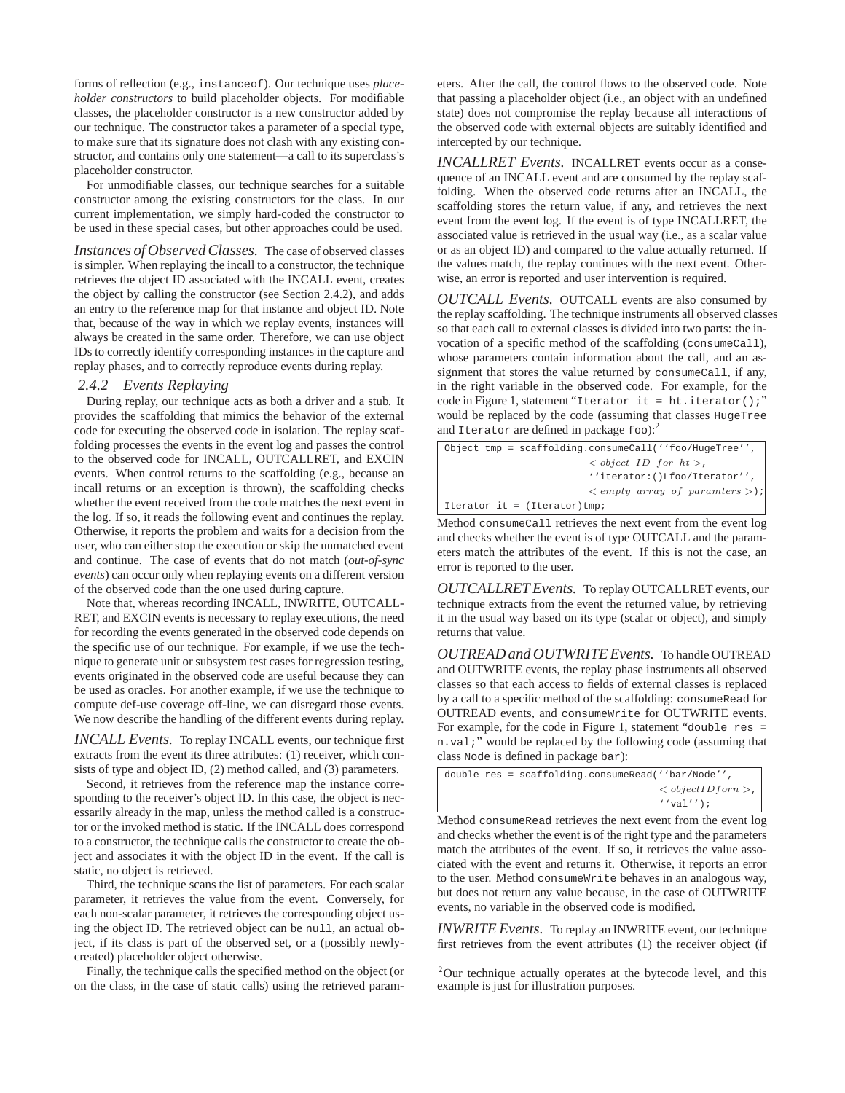forms of reflection (e.g., instanceof). Our technique uses *placeholder constructors* to build placeholder objects. For modifiable classes, the placeholder constructor is a new constructor added by our technique. The constructor takes a parameter of a special type, to make sure that its signature does not clash with any existing constructor, and contains only one statement—a call to its superclass's placeholder constructor.

For unmodifiable classes, our technique searches for a suitable constructor among the existing constructors for the class. In our current implementation, we simply hard-coded the constructor to be used in these special cases, but other approaches could be used.

*Instances of Observed Classes.* The case of observed classes is simpler. When replaying the incall to a constructor, the technique retrieves the object ID associated with the INCALL event, creates the object by calling the constructor (see Section 2.4.2), and adds an entry to the reference map for that instance and object ID. Note that, because of the way in which we replay events, instances will always be created in the same order. Therefore, we can use object IDs to correctly identify corresponding instances in the capture and replay phases, and to correctly reproduce events during replay.

#### *2.4.2 Events Replaying*

During replay, our technique acts as both a driver and a stub. It provides the scaffolding that mimics the behavior of the external code for executing the observed code in isolation. The replay scaffolding processes the events in the event log and passes the control to the observed code for INCALL, OUTCALLRET, and EXCIN events. When control returns to the scaffolding (e.g., because an incall returns or an exception is thrown), the scaffolding checks whether the event received from the code matches the next event in the log. If so, it reads the following event and continues the replay. Otherwise, it reports the problem and waits for a decision from the user, who can either stop the execution or skip the unmatched event and continue. The case of events that do not match (*out-of-sync events*) can occur only when replaying events on a different version of the observed code than the one used during capture.

Note that, whereas recording INCALL, INWRITE, OUTCALL-RET, and EXCIN events is necessary to replay executions, the need for recording the events generated in the observed code depends on the specific use of our technique. For example, if we use the technique to generate unit or subsystem test cases for regression testing, events originated in the observed code are useful because they can be used as oracles. For another example, if we use the technique to compute def-use coverage off-line, we can disregard those events. We now describe the handling of the different events during replay.

*INCALL Events.* To replay INCALL events, our technique first extracts from the event its three attributes: (1) receiver, which consists of type and object ID, (2) method called, and (3) parameters.

Second, it retrieves from the reference map the instance corresponding to the receiver's object ID. In this case, the object is necessarily already in the map, unless the method called is a constructor or the invoked method is static. If the INCALL does correspond to a constructor, the technique calls the constructor to create the object and associates it with the object ID in the event. If the call is static, no object is retrieved.

Third, the technique scans the list of parameters. For each scalar parameter, it retrieves the value from the event. Conversely, for each non-scalar parameter, it retrieves the corresponding object using the object ID. The retrieved object can be null, an actual object, if its class is part of the observed set, or a (possibly newlycreated) placeholder object otherwise.

Finally, the technique calls the specified method on the object (or on the class, in the case of static calls) using the retrieved parameters. After the call, the control flows to the observed code. Note that passing a placeholder object (i.e., an object with an undefined state) does not compromise the replay because all interactions of the observed code with external objects are suitably identified and intercepted by our technique.

*INCALLRET Events.* INCALLRET events occur as a consequence of an INCALL event and are consumed by the replay scaffolding. When the observed code returns after an INCALL, the scaffolding stores the return value, if any, and retrieves the next event from the event log. If the event is of type INCALLRET, the associated value is retrieved in the usual way (i.e., as a scalar value or as an object ID) and compared to the value actually returned. If the values match, the replay continues with the next event. Otherwise, an error is reported and user intervention is required.

*OUTCALL Events.* OUTCALL events are also consumed by the replay scaffolding. The technique instruments all observed classes so that each call to external classes is divided into two parts: the invocation of a specific method of the scaffolding (consumeCall), whose parameters contain information about the call, and an assignment that stores the value returned by consumeCall, if any, in the right variable in the observed code. For example, for the code in Figure 1, statement "Iterator it = ht.iterator();" would be replaced by the code (assuming that classes HugeTree and Iterator are defined in package  $foo$ ):<sup>2</sup>

| Object tmp = $scaffolding.comsumecall(''foo/HuqeTree''.$ |
|----------------------------------------------------------|
| $\langle$ object ID for $ht$ >.                          |
| "\iterator:()Lfoo/Iterator'',                            |
| $\langle$ empty array of paramters $\rangle$ ;           |
| Iterator it = $(Iterator)$ tmp;                          |

Method consumeCall retrieves the next event from the event log and checks whether the event is of type OUTCALL and the parameters match the attributes of the event. If this is not the case, an error is reported to the user.

*OUTCALLRET Events.* To replay OUTCALLRET events, our technique extracts from the event the returned value, by retrieving it in the usual way based on its type (scalar or object), and simply returns that value.

*OUTREAD and OUTWRITE Events.* To handle OUTREAD and OUTWRITE events, the replay phase instruments all observed classes so that each access to fields of external classes is replaced by a call to a specific method of the scaffolding: consumeRead for OUTREAD events, and consumeWrite for OUTWRITE events. For example, for the code in Figure 1, statement "double res = n.val;" would be replaced by the following code (assuming that class Node is defined in package bar):

| double res = $scaffolding.comsumeRead(''bar/Node'',$     |
|----------------------------------------------------------|
| $\langle$ objectID for $\langle$ $\rangle$ $\langle$ $ $ |
| $'$ val'');                                              |

Method consumeRead retrieves the next event from the event log and checks whether the event is of the right type and the parameters match the attributes of the event. If so, it retrieves the value associated with the event and returns it. Otherwise, it reports an error to the user. Method consumeWrite behaves in an analogous way, but does not return any value because, in the case of OUTWRITE events, no variable in the observed code is modified.

*INWRITE Events.* To replay an INWRITE event, our technique first retrieves from the event attributes (1) the receiver object (if

<sup>&</sup>lt;sup>2</sup>Our technique actually operates at the bytecode level, and this example is just for illustration purposes.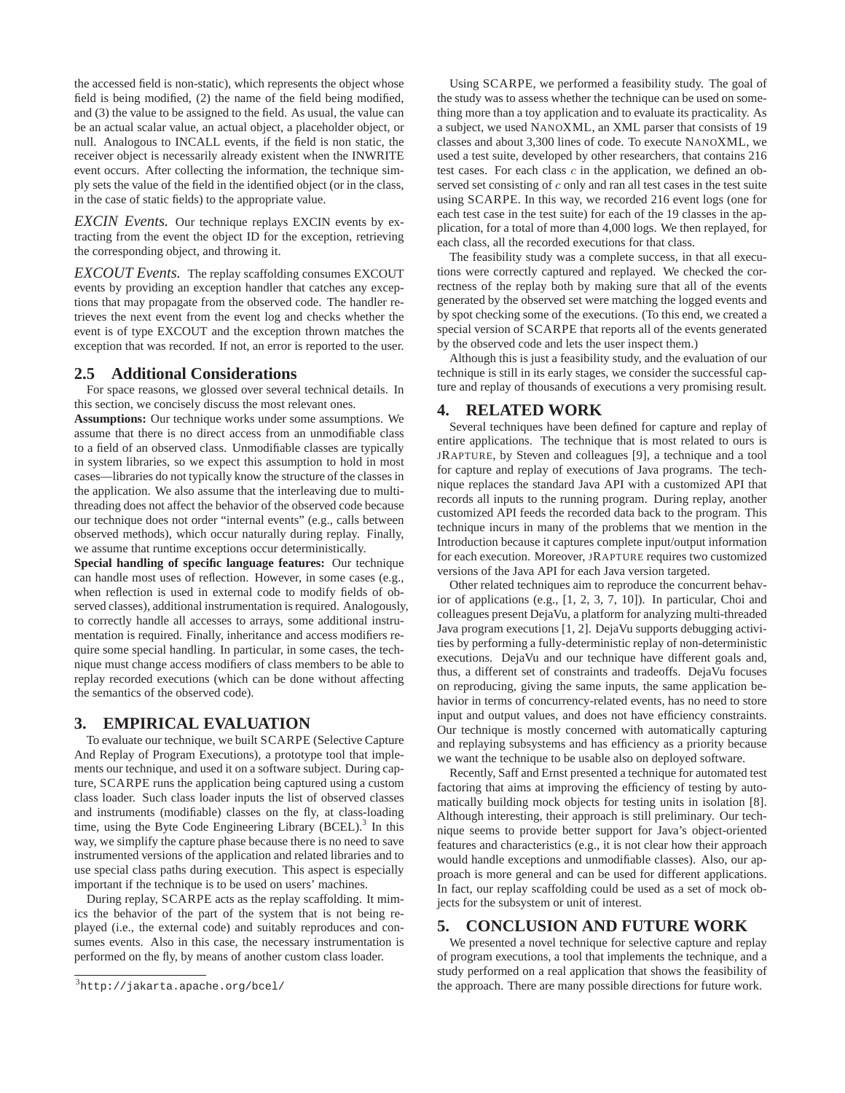the accessed field is non-static), which represents the object whose field is being modified, (2) the name of the field being modified, and (3) the value to be assigned to the field. As usual, the value can be an actual scalar value, an actual object, a placeholder object, or null. Analogous to INCALL events, if the field is non static, the receiver object is necessarily already existent when the INWRITE event occurs. After collecting the information, the technique simply sets the value of the field in the identified object (or in the class, in the case of static fields) to the appropriate value.

*EXCIN Events.* Our technique replays EXCIN events by extracting from the event the object ID for the exception, retrieving the corresponding object, and throwing it.

*EXCOUT Events.* The replay scaffolding consumes EXCOUT events by providing an exception handler that catches any exceptions that may propagate from the observed code. The handler retrieves the next event from the event log and checks whether the event is of type EXCOUT and the exception thrown matches the exception that was recorded. If not, an error is reported to the user.

## **2.5 Additional Considerations**

For space reasons, we glossed over several technical details. In this section, we concisely discuss the most relevant ones.

**Assumptions:** Our technique works under some assumptions. We assume that there is no direct access from an unmodifiable class to a field of an observed class. Unmodifiable classes are typically in system libraries, so we expect this assumption to hold in most cases—libraries do not typically know the structure of the classes in the application. We also assume that the interleaving due to multithreading does not affect the behavior of the observed code because our technique does not order "internal events" (e.g., calls between observed methods), which occur naturally during replay. Finally, we assume that runtime exceptions occur deterministically.

**Special handling of specific language features:** Our technique can handle most uses of reflection. However, in some cases (e.g., when reflection is used in external code to modify fields of observed classes), additional instrumentation is required. Analogously, to correctly handle all accesses to arrays, some additional instrumentation is required. Finally, inheritance and access modifiers require some special handling. In particular, in some cases, the technique must change access modifiers of class members to be able to replay recorded executions (which can be done without affecting the semantics of the observed code).

# **3. EMPIRICAL EVALUATION**

To evaluate our technique, we built SCARPE (Selective Capture And Replay of Program Executions), a prototype tool that implements our technique, and used it on a software subject. During capture, SCARPE runs the application being captured using a custom class loader. Such class loader inputs the list of observed classes and instruments (modifiable) classes on the fly, at class-loading time, using the Byte Code Engineering Library (BCEL).<sup>3</sup> In this way, we simplify the capture phase because there is no need to save instrumented versions of the application and related libraries and to use special class paths during execution. This aspect is especially important if the technique is to be used on users' machines.

During replay, SCARPE acts as the replay scaffolding. It mimics the behavior of the part of the system that is not being replayed (i.e., the external code) and suitably reproduces and consumes events. Also in this case, the necessary instrumentation is performed on the fly, by means of another custom class loader.

Using SCARPE, we performed a feasibility study. The goal of the study was to assess whether the technique can be used on something more than a toy application and to evaluate its practicality. As a subject, we used NANOXML, an XML parser that consists of 19 classes and about 3,300 lines of code. To execute NANOXML, we used a test suite, developed by other researchers, that contains 216 test cases. For each class  $c$  in the application, we defined an observed set consisting of c only and ran all test cases in the test suite using SCARPE. In this way, we recorded 216 event logs (one for each test case in the test suite) for each of the 19 classes in the application, for a total of more than 4,000 logs. We then replayed, for each class, all the recorded executions for that class.

The feasibility study was a complete success, in that all executions were correctly captured and replayed. We checked the correctness of the replay both by making sure that all of the events generated by the observed set were matching the logged events and by spot checking some of the executions. (To this end, we created a special version of SCARPE that reports all of the events generated by the observed code and lets the user inspect them.)

Although this is just a feasibility study, and the evaluation of our technique is still in its early stages, we consider the successful capture and replay of thousands of executions a very promising result.

# **4. RELATED WORK**

Several techniques have been defined for capture and replay of entire applications. The technique that is most related to ours is JRAPTURE, by Steven and colleagues [9], a technique and a tool for capture and replay of executions of Java programs. The technique replaces the standard Java API with a customized API that records all inputs to the running program. During replay, another customized API feeds the recorded data back to the program. This technique incurs in many of the problems that we mention in the Introduction because it captures complete input/output information for each execution. Moreover, JRAPTURE requires two customized versions of the Java API for each Java version targeted.

Other related techniques aim to reproduce the concurrent behavior of applications (e.g., [1, 2, 3, 7, 10]). In particular, Choi and colleagues present DejaVu, a platform for analyzing multi-threaded Java program executions [1, 2]. DejaVu supports debugging activities by performing a fully-deterministic replay of non-deterministic executions. DejaVu and our technique have different goals and, thus, a different set of constraints and tradeoffs. DejaVu focuses on reproducing, giving the same inputs, the same application behavior in terms of concurrency-related events, has no need to store input and output values, and does not have efficiency constraints. Our technique is mostly concerned with automatically capturing and replaying subsystems and has efficiency as a priority because we want the technique to be usable also on deployed software.

Recently, Saff and Ernst presented a technique for automated test factoring that aims at improving the efficiency of testing by automatically building mock objects for testing units in isolation [8]. Although interesting, their approach is still preliminary. Our technique seems to provide better support for Java's object-oriented features and characteristics (e.g., it is not clear how their approach would handle exceptions and unmodifiable classes). Also, our approach is more general and can be used for different applications. In fact, our replay scaffolding could be used as a set of mock objects for the subsystem or unit of interest.

# **5. CONCLUSION AND FUTURE WORK**

We presented a novel technique for selective capture and replay of program executions, a tool that implements the technique, and a study performed on a real application that shows the feasibility of the approach. There are many possible directions for future work.

<sup>3</sup> http://jakarta.apache.org/bcel/